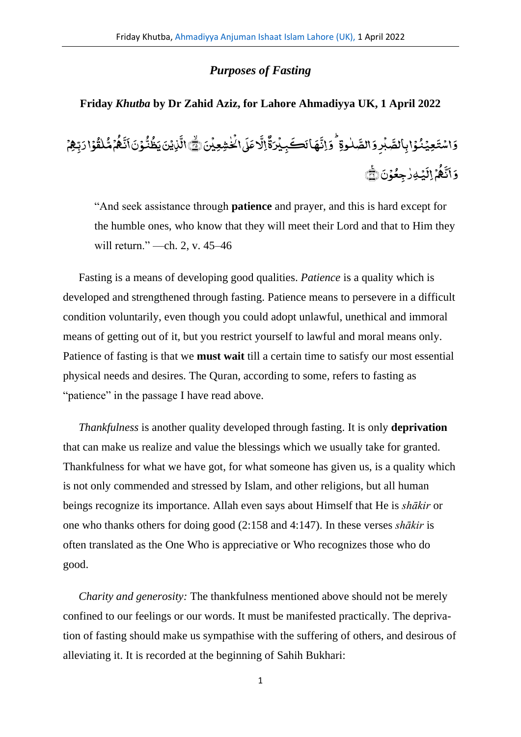# *Purposes of Fasting*

# **Friday** *Khutba* **by Dr Zahid Aziz, for Lahore Ahmadiyya UK, 1 April 2022**

# ر<br>إِنَ\لَحٰٰشِعِيْنَ ١١ **ٔ** ٰ .<br>, ِ<br>دعَلَ .<br>ا ِ<br>بَهَ الِ ِ<br>وء ِ<br>هَانَڪَبِيْرَةٌ .<br>, ِ<br>نا ِ<br>لمُوةٍ ۡوَإِنَّ ٰ .<br>بُرِوَالصَّ <u>َ</u> وَاسْتَعِيۡنُوۡا بِٱلصَّبۡرِوَالصَّلٰوةِ ۚ وَاتَّهَا لَكَجِيۡدَةُۚالَّا عَلَىٰالۡخُشِعِيۡنَ۞ ۖ الَّذِيۡنَ يَظُنُّوۡنَانَّـُهُمۡمُّلْقُوۡا <u>َ</u> **أ** <u>َ</u> .<br>, </del> ق ل ٰ و<br>م **ّ** ُ ہ ِ<br>نا ن ِ<br>بر .<br>ونا .<br>, و<br>مش ُ ِ<br>ٰزِیۡنَ یَظُ ֧<u>֫</u> ِ<br>به الَّٰٓذِيۡنَ يَظُنُّوۡنَ اَنَّـٰهُمۡ مُّلْقُوۡا دَبِّهِۥ .<br>, ن<br>يُهِرٰجِعُوۡنَ ۡ **ٔ** ٰ **أ ृ** ِال م <u>َ</u> ُ ہ ِ<br>نه ن ِ<br>بر وَأَنَّكُمُ إِلَيۡهِ رٰجِعُوۡنَ ۞

"And seek assistance through **patience** and prayer, and this is hard except for the humble ones, who know that they will meet their Lord and that to Him they will return." —ch. 2, v. 45–46

Fasting is a means of developing good qualities. *Patience* is a quality which is developed and strengthened through fasting. Patience means to persevere in a difficult condition voluntarily, even though you could adopt unlawful, unethical and immoral means of getting out of it, but you restrict yourself to lawful and moral means only. Patience of fasting is that we **must wait** till a certain time to satisfy our most essential physical needs and desires. The Quran, according to some, refers to fasting as "patience" in the passage I have read above.

*Thankfulness* is another quality developed through fasting. It is only **deprivation** that can make us realize and value the blessings which we usually take for granted. Thankfulness for what we have got, for what someone has given us, is a quality which is not only commended and stressed by Islam, and other religions, but all human beings recognize its importance. Allah even says about Himself that He is *shākir* or one who thanks others for doing good (2:158 and 4:147). In these verses *shākir* is often translated as the One Who is appreciative or Who recognizes those who do good.

*Charity and generosity:* The thankfulness mentioned above should not be merely confined to our feelings or our words. It must be manifested practically. The deprivation of fasting should make us sympathise with the suffering of others, and desirous of alleviating it. It is recorded at the beginning of Sahih Bukhari:

1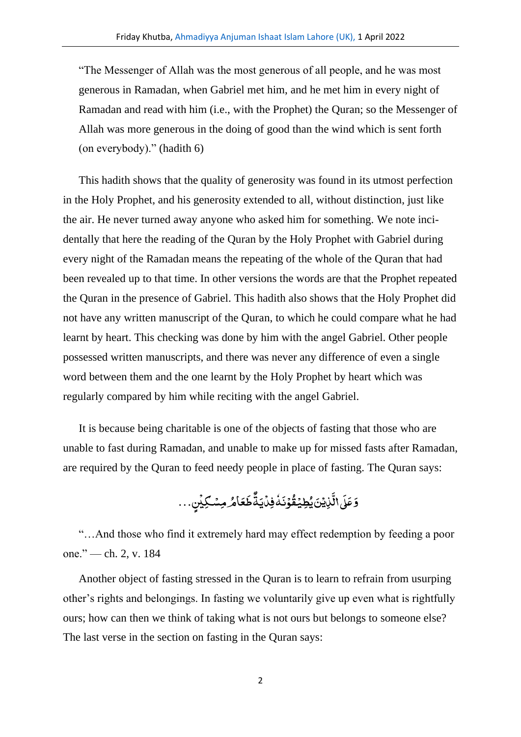"The Messenger of Allah was the most generous of all people, and he was most generous in Ramadan, when Gabriel met him, and he met him in every night of Ramadan and read with him (i.e., with the Prophet) the Quran; so the Messenger of Allah was more generous in the doing of good than the wind which is sent forth (on everybody)." (hadith 6)

This hadith shows that the quality of generosity was found in its utmost perfection in the Holy Prophet, and his generosity extended to all, without distinction, just like the air. He never turned away anyone who asked him for something. We note incidentally that here the reading of the Quran by the Holy Prophet with Gabriel during every night of the Ramadan means the repeating of the whole of the Quran that had been revealed up to that time. In other versions the words are that the Prophet repeated the Quran in the presence of Gabriel. This hadith also shows that the Holy Prophet did not have any written manuscript of the Quran, to which he could compare what he had learnt by heart. This checking was done by him with the angel Gabriel. Other people possessed written manuscripts, and there was never any difference of even a single word between them and the one learnt by the Holy Prophet by heart which was regularly compared by him while reciting with the angel Gabriel.

It is because being charitable is one of the objects of fasting that those who are unable to fast during Ramadan, and unable to make up for missed fasts after Ramadan, are required by the Quran to feed needy people in place of fasting. The Quran says:

> ..<br>مَامُرْمِسۡکِیۡنِ .<br>, ِ<br>ـ ط وءِ ِ<br>نُدُفِنَيَدُ **أ** ٗ َ و<br>وُذ <u>់</u> ُ ِ<br>ٚڹؽؘؿ*ؿ*ؽۣۻؿؙ .<br>ء <u>ہ</u> ِ<br>نه ر<br>ا راڈ وَعَدَ ل

"…And those who find it extremely hard may effect redemption by feeding a poor one." — ch. 2, v. 184

Another object of fasting stressed in the Quran is to learn to refrain from usurping other's rights and belongings. In fasting we voluntarily give up even what is rightfully ours; how can then we think of taking what is not ours but belongs to someone else? The last verse in the section on fasting in the Quran says: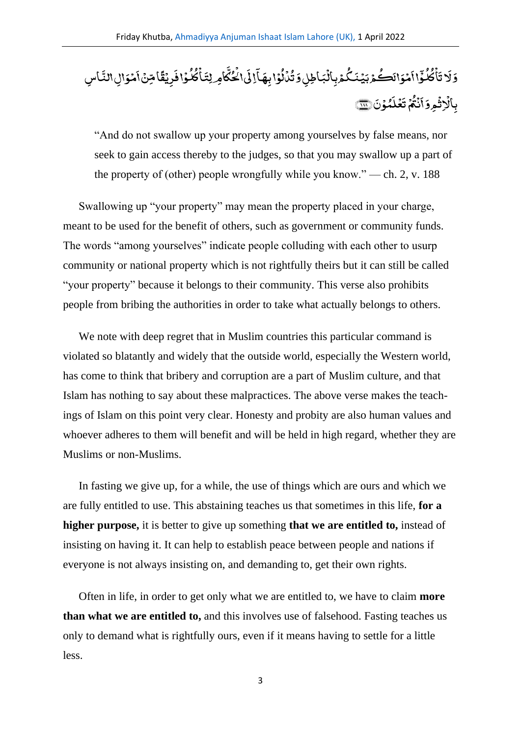## ئ<br>ڦامِن ریْقٌ .<br>, ِ<br>ـ ۇافْ **ٔ** ُ لمح ُ ،<br>كامِرلِتَىاڭ ؚ<br>ۣ ِ<br>نه ن<br>پی) چې **أ** َ ا  $\overline{a}$ .<br>ۇاب**ھ**آ **ٔ** ُ ر<br>مار <u>់</u> ُ ،<br>كُمۡوِبِاۡلَبَاطِلِوَتُ **ّ** مۡوَالَڪُمۡ بَيۡنَـٰکُ <u>َ</u> **ٔ** ે<br>ર اا ر<br>پ ; و ُ لمح ُ م<br>کا ۡ َ ات وَلَا تَأْكُلُوۡٓا ٱمۡوَالَكُمۡوَالِٱلۡشَرُدِيۡنَـۡكُمۡوِبِٱلۡبَاطِلِوَ تُدۡاُلُوۡا بِهَآالِٱلۡخُلُّامِرِلِتَأۡكُلُوۡا فَرِيۡقَاۚا مِّنۡ ٱمۡوَالِٱلنَّاسِ ل ر<br>مُوَالِ1لَّذُ .<br>, ِّ ا بِالْاِثْمِرْوَاَنْثُمْ تَعۡلَمُوۡنَ ﴿ ؚ<br>ۣ <u>َ</u> **أ** ِ<br>ـ ي<br>محل .<br>ء ِ<br>ـ ء<br>م ڌ **أ** ُ ت ن **ٔ** ે<br>ર اَنْكُمْ تَغَلَّمُوْنَ (ِ , ,

"And do not swallow up your property among yourselves by false means, nor seek to gain access thereby to the judges, so that you may swallow up a part of the property of (other) people wrongfully while you know." — ch. 2, v. 188

Swallowing up "your property" may mean the property placed in your charge, meant to be used for the benefit of others, such as government or community funds. The words "among yourselves" indicate people colluding with each other to usurp community or national property which is not rightfully theirs but it can still be called "your property" because it belongs to their community. This verse also prohibits people from bribing the authorities in order to take what actually belongs to others.

We note with deep regret that in Muslim countries this particular command is violated so blatantly and widely that the outside world, especially the Western world, has come to think that bribery and corruption are a part of Muslim culture, and that Islam has nothing to say about these malpractices. The above verse makes the teachings of Islam on this point very clear. Honesty and probity are also human values and whoever adheres to them will benefit and will be held in high regard, whether they are Muslims or non-Muslims.

In fasting we give up, for a while, the use of things which are ours and which we are fully entitled to use. This abstaining teaches us that sometimes in this life, **for a higher purpose,** it is better to give up something **that we are entitled to,** instead of insisting on having it. It can help to establish peace between people and nations if everyone is not always insisting on, and demanding to, get their own rights.

Often in life, in order to get only what we are entitled to, we have to claim **more than what we are entitled to,** and this involves use of falsehood. Fasting teaches us only to demand what is rightfully ours, even if it means having to settle for a little less.

3